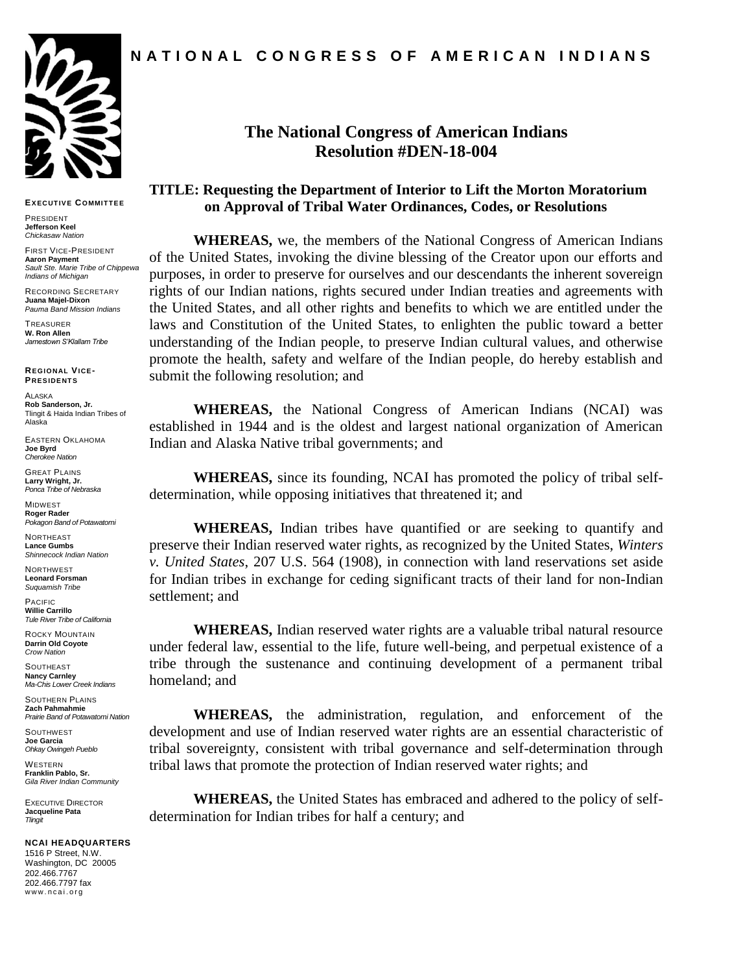

**EXECUT IVE COMMIT TEE**

PRESIDENT **Jefferson Keel** *Chickasaw Nation*

FIRST VICE-PRESIDENT **Aaron Payment** *Sault Ste. Marie Tribe of Chippewa Indians of Michigan*

RECORDING SECRETARY **Juana Majel-Dixon** *Pauma Band Mission Indians*

TREASURER **W. Ron Allen** *Jamestown S'Klallam Tribe*

**REGIONAL VICE-PRESIDENT S**

ALASKA **Rob Sanderson, Jr.** Tlingit & Haida Indian Tribes of Alaska

EASTERN OKLAHOMA **Joe Byrd** *Cherokee Nation*

GREAT PLAINS **Larry Wright, Jr.** *Ponca Tribe of Nebraska*

MIDWEST **Roger Rader** *Pokagon Band of Potawatomi* 

**NORTHEAST Lance Gumbs** *Shinnecock Indian Nation*

NORTHWEST **Leonard Forsman** *Suquamish Tribe*

PACIFIC **Willie Carrillo** *Tule River Tribe of California*

ROCKY MOUNTAIN **Darrin Old Coyote** *Crow Nation*

**SOUTHEAST Nancy Carnley** *Ma-Chis Lower Creek Indians*

SOUTHERN PLAINS **Zach Pahmahmie** *Prairie Band of Potawatomi Nation* 

**SOUTHWEST Joe Garcia** *Ohkay Owingeh Pueblo*

*Tlingit*

WESTERN **Franklin Pablo, Sr.**

*Gila River Indian Community* EXECUTIVE DIRECTOR **Jacqueline Pata**

**NCAI HEADQUARTERS**

1516 P Street, N.W. Washington, DC 20005 202.466.7767 202.466.7797 fax www.ncai.org

## **The National Congress of American Indians Resolution #DEN-18-004**

## **TITLE: Requesting the Department of Interior to Lift the Morton Moratorium on Approval of Tribal Water Ordinances, Codes, or Resolutions**

**WHEREAS,** we, the members of the National Congress of American Indians of the United States, invoking the divine blessing of the Creator upon our efforts and purposes, in order to preserve for ourselves and our descendants the inherent sovereign rights of our Indian nations, rights secured under Indian treaties and agreements with the United States, and all other rights and benefits to which we are entitled under the laws and Constitution of the United States, to enlighten the public toward a better understanding of the Indian people, to preserve Indian cultural values, and otherwise promote the health, safety and welfare of the Indian people, do hereby establish and submit the following resolution; and

**WHEREAS,** the National Congress of American Indians (NCAI) was established in 1944 and is the oldest and largest national organization of American Indian and Alaska Native tribal governments; and

**WHEREAS,** since its founding, NCAI has promoted the policy of tribal selfdetermination, while opposing initiatives that threatened it; and

**WHEREAS,** Indian tribes have quantified or are seeking to quantify and preserve their Indian reserved water rights, as recognized by the United States, *Winters v. United States*, 207 U.S. 564 (1908), in connection with land reservations set aside for Indian tribes in exchange for ceding significant tracts of their land for non-Indian settlement; and

**WHEREAS,** Indian reserved water rights are a valuable tribal natural resource under federal law, essential to the life, future well-being, and perpetual existence of a tribe through the sustenance and continuing development of a permanent tribal homeland; and

**WHEREAS,** the administration, regulation, and enforcement of the development and use of Indian reserved water rights are an essential characteristic of tribal sovereignty, consistent with tribal governance and self-determination through tribal laws that promote the protection of Indian reserved water rights; and

**WHEREAS,** the United States has embraced and adhered to the policy of selfdetermination for Indian tribes for half a century; and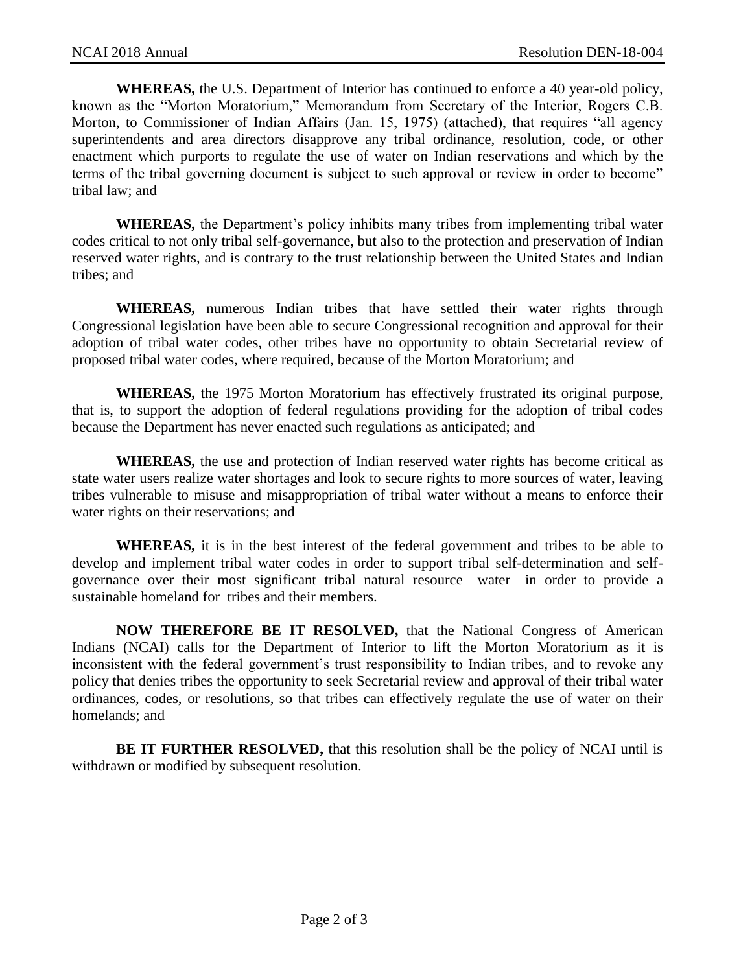**WHEREAS,** the U.S. Department of Interior has continued to enforce a 40 year-old policy, known as the "Morton Moratorium," Memorandum from Secretary of the Interior, Rogers C.B. Morton, to Commissioner of Indian Affairs (Jan. 15, 1975) (attached), that requires "all agency superintendents and area directors disapprove any tribal ordinance, resolution, code, or other enactment which purports to regulate the use of water on Indian reservations and which by the terms of the tribal governing document is subject to such approval or review in order to become" tribal law; and

**WHEREAS,** the Department's policy inhibits many tribes from implementing tribal water codes critical to not only tribal self-governance, but also to the protection and preservation of Indian reserved water rights, and is contrary to the trust relationship between the United States and Indian tribes; and

**WHEREAS,** numerous Indian tribes that have settled their water rights through Congressional legislation have been able to secure Congressional recognition and approval for their adoption of tribal water codes, other tribes have no opportunity to obtain Secretarial review of proposed tribal water codes, where required, because of the Morton Moratorium; and

**WHEREAS,** the 1975 Morton Moratorium has effectively frustrated its original purpose, that is, to support the adoption of federal regulations providing for the adoption of tribal codes because the Department has never enacted such regulations as anticipated; and

**WHEREAS,** the use and protection of Indian reserved water rights has become critical as state water users realize water shortages and look to secure rights to more sources of water, leaving tribes vulnerable to misuse and misappropriation of tribal water without a means to enforce their water rights on their reservations; and

**WHEREAS,** it is in the best interest of the federal government and tribes to be able to develop and implement tribal water codes in order to support tribal self-determination and selfgovernance over their most significant tribal natural resource—water—in order to provide a sustainable homeland for tribes and their members.

**NOW THEREFORE BE IT RESOLVED,** that the National Congress of American Indians (NCAI) calls for the Department of Interior to lift the Morton Moratorium as it is inconsistent with the federal government's trust responsibility to Indian tribes, and to revoke any policy that denies tribes the opportunity to seek Secretarial review and approval of their tribal water ordinances, codes, or resolutions, so that tribes can effectively regulate the use of water on their homelands; and

**BE IT FURTHER RESOLVED,** that this resolution shall be the policy of NCAI until is withdrawn or modified by subsequent resolution.